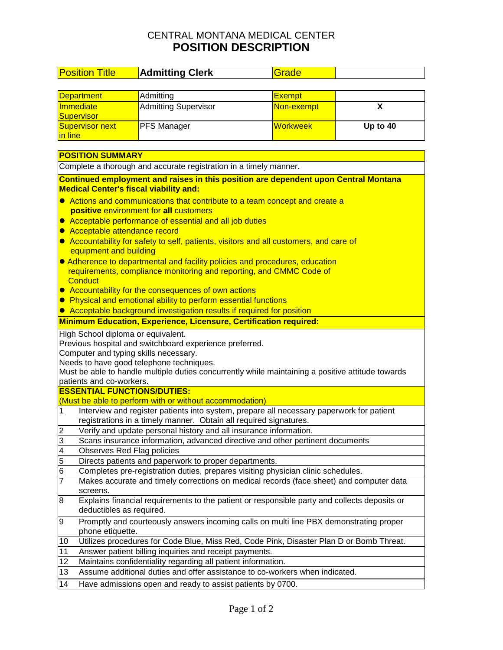## CENTRAL MONTANA MEDICAL CENTER **POSITION DESCRIPTION**

| <b>Position Title</b>                                                                                                                | <b>Admitting Clerk</b>                                                                                                   | Grade         |          |  |  |  |
|--------------------------------------------------------------------------------------------------------------------------------------|--------------------------------------------------------------------------------------------------------------------------|---------------|----------|--|--|--|
|                                                                                                                                      |                                                                                                                          |               |          |  |  |  |
| <b>Department</b>                                                                                                                    | Admitting                                                                                                                | <b>Exempt</b> |          |  |  |  |
| Immediate                                                                                                                            | <b>Admitting Supervisor</b>                                                                                              | Non-exempt    | X        |  |  |  |
| Supervisor                                                                                                                           |                                                                                                                          |               |          |  |  |  |
| <b>Supervisor next</b>                                                                                                               | PFS Manager                                                                                                              | Workweek      | Up to 40 |  |  |  |
| in line                                                                                                                              |                                                                                                                          |               |          |  |  |  |
| <b>POSITION SUMMARY</b>                                                                                                              |                                                                                                                          |               |          |  |  |  |
| Complete a thorough and accurate registration in a timely manner.                                                                    |                                                                                                                          |               |          |  |  |  |
|                                                                                                                                      |                                                                                                                          |               |          |  |  |  |
| Continued employment and raises in this position are dependent upon Central Montana<br><b>Medical Center's fiscal viability and:</b> |                                                                                                                          |               |          |  |  |  |
| Actions and communications that contribute to a team concept and create a                                                            |                                                                                                                          |               |          |  |  |  |
| positive environment for all customers                                                                                               |                                                                                                                          |               |          |  |  |  |
| Acceptable performance of essential and all job duties                                                                               |                                                                                                                          |               |          |  |  |  |
| Acceptable attendance record                                                                                                         |                                                                                                                          |               |          |  |  |  |
| Accountability for safety to self, patients, visitors and all customers, and care of<br>equipment and building                       |                                                                                                                          |               |          |  |  |  |
| • Adherence to departmental and facility policies and procedures, education                                                          |                                                                                                                          |               |          |  |  |  |
|                                                                                                                                      | requirements, compliance monitoring and reporting, and CMMC Code of                                                      |               |          |  |  |  |
| <b>Conduct</b>                                                                                                                       |                                                                                                                          |               |          |  |  |  |
|                                                                                                                                      | • Accountability for the consequences of own actions                                                                     |               |          |  |  |  |
|                                                                                                                                      | • Physical and emotional ability to perform essential functions                                                          |               |          |  |  |  |
|                                                                                                                                      | Acceptable background investigation results if required for position                                                     |               |          |  |  |  |
|                                                                                                                                      | Minimum Education, Experience, Licensure, Certification required:                                                        |               |          |  |  |  |
| High School diploma or equivalent.                                                                                                   |                                                                                                                          |               |          |  |  |  |
|                                                                                                                                      | Previous hospital and switchboard experience preferred.                                                                  |               |          |  |  |  |
| Computer and typing skills necessary.                                                                                                |                                                                                                                          |               |          |  |  |  |
|                                                                                                                                      | Needs to have good telephone techniques.                                                                                 |               |          |  |  |  |
|                                                                                                                                      | Must be able to handle multiple duties concurrently while maintaining a positive attitude towards                        |               |          |  |  |  |
| patients and co-workers.<br><b>ESSENTIAL FUNCTIONS/DUTIES:</b>                                                                       |                                                                                                                          |               |          |  |  |  |
|                                                                                                                                      | (Must be able to perform with or without accommodation)                                                                  |               |          |  |  |  |
| Interview and register patients into system, prepare all necessary paperwork for patient<br>1                                        |                                                                                                                          |               |          |  |  |  |
|                                                                                                                                      | registrations in a timely manner. Obtain all required signatures.                                                        |               |          |  |  |  |
| $\overline{2}$<br>Verify and update personal history and all insurance information.                                                  |                                                                                                                          |               |          |  |  |  |
| 3<br>Scans insurance information, advanced directive and other pertinent documents                                                   |                                                                                                                          |               |          |  |  |  |
| $\overline{4}$<br>Observes Red Flag policies                                                                                         |                                                                                                                          |               |          |  |  |  |
| $\overline{5}$<br>Directs patients and paperwork to proper departments.                                                              |                                                                                                                          |               |          |  |  |  |
| $6\phantom{.}6$<br>Completes pre-registration duties, prepares visiting physician clinic schedules.                                  |                                                                                                                          |               |          |  |  |  |
| 7                                                                                                                                    | Makes accurate and timely corrections on medical records (face sheet) and computer data                                  |               |          |  |  |  |
| screens.                                                                                                                             |                                                                                                                          |               |          |  |  |  |
| 8                                                                                                                                    | Explains financial requirements to the patient or responsible party and collects deposits or<br>deductibles as required. |               |          |  |  |  |
| Promptly and courteously answers incoming calls on multi line PBX demonstrating proper<br>9<br>phone etiquette.                      |                                                                                                                          |               |          |  |  |  |
| Utilizes procedures for Code Blue, Miss Red, Code Pink, Disaster Plan D or Bomb Threat.<br>10                                        |                                                                                                                          |               |          |  |  |  |
| Answer patient billing inquiries and receipt payments.<br>11                                                                         |                                                                                                                          |               |          |  |  |  |
| 12<br>Maintains confidentiality regarding all patient information.                                                                   |                                                                                                                          |               |          |  |  |  |
| 13                                                                                                                                   | Assume additional duties and offer assistance to co-workers when indicated.                                              |               |          |  |  |  |
| 14                                                                                                                                   | Have admissions open and ready to assist patients by 0700.                                                               |               |          |  |  |  |